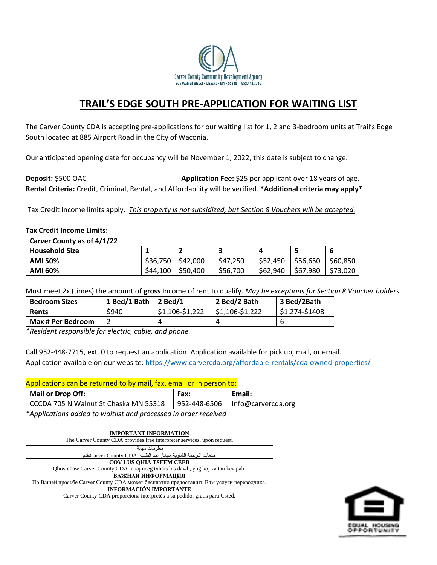

# **TRAIL'S EDGE SOUTH PRE-APPLICATION FOR WAITING LIST**

The Carver County CDA is accepting pre-applications for our waiting list for 1, 2 and 3-bedroom units at Trail's Edge South located at 885 Airport Road in the City of Waconia.

Our anticipated opening date for occupancy will be November 1, 2022, this date is subject to change.

**Deposit:** \$500 OAC **Application Fee:** \$25 per applicant over 18 years of age. **Rental Criteria:** Credit, Criminal, Rental, and Affordability will be verified. **\*Additional criteria may apply\***

Tax Credit Income limits apply. *This property is not subsidized, but Section 8 Vouchers will be accepted.*

## **Tax Credit Income Limits:**

| Carver County as of 4/1/22 |          |          |          |            |          |          |
|----------------------------|----------|----------|----------|------------|----------|----------|
| <b>Household Size</b>      |          |          |          | $\sqrt{ }$ |          | b        |
| <b>AMI 50%</b>             | \$36,750 | \$42,000 | \$47,250 | \$52,450   | \$56,650 | \$60,850 |
| <b>AMI 60%</b>             | \$44,100 | \$50,400 | \$56,700 | \$62,940   | \$67,980 | \$73,020 |

Must meet 2x (times) the amount of **gross** Income of rent to qualify. *May be exceptions for Section 8 Voucher holders.*

| <b>Bedroom Sizes</b>     | 1 Bed/1 Bath | $2$ Bed/1       | 2 Bed/2 Bath    | 3 Bed/2Bath    |
|--------------------------|--------------|-----------------|-----------------|----------------|
| Rents                    | \$940        | $$1,106-$1,222$ | \$1,106-\$1,222 | $51,274-51408$ |
| <b>Max # Per Bedroom</b> |              |                 |                 | b              |

*\*Resident responsible for electric, cable, and phone.*

Call 952-448-7715, ext. 0 to request an application. Application available for pick up, mail, or email. Application available on our website:<https://www.carvercda.org/affordable-rentals/cda-owned-properties/>

### Applications can be returned to by mail, fax, email or in person to:

|                                       | Fax: | Email:                            |
|---------------------------------------|------|-----------------------------------|
| CCCDA 705 N Walnut St Chaska MN 55318 |      | 952-448-6506   Info@carvercda.org |

*\*Applications added to waitlist and processed in order received*

| <b>IMPORTANT INFORMATION</b>                                                            |  |  |  |  |
|-----------------------------------------------------------------------------------------|--|--|--|--|
| The Carver County CDA provides free interpreter services, upon request.                 |  |  |  |  |
| معلومات مهمة                                                                            |  |  |  |  |
| خدمات الترجمة الشفوية مجانا, عند الطلب Carver County CDAنقدم                            |  |  |  |  |
| <b>COV LUS OHIA TSEEM CEEB</b>                                                          |  |  |  |  |
| Ohov chaw Carver County CDA muaj neeg txhais lus dawb, yog koj xa tau kev pab.          |  |  |  |  |
| ВАЖНАЯ ИНФОРМАЦИЯ                                                                       |  |  |  |  |
| По Вашей просьбе Carver County CDA может бесплатно предоставить Вам услуги переводчика. |  |  |  |  |
| <b>INFORMACIÓN IMPORTANTE</b>                                                           |  |  |  |  |
| Carver County CDA proporciona interpretés a su pedido, gratis para Usted.               |  |  |  |  |

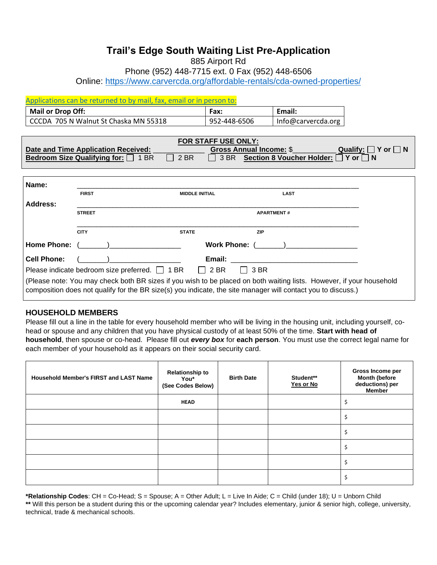# **Trail's Edge South Waiting List Pre-Application**

885 Airport Rd

Phone (952) 448-7715 ext. 0 Fax (952) 448-6506

Online:<https://www.carvercda.org/affordable-rentals/cda-owned-properties/>

# Applications can be returned to by mail, fax, email or in person to: **Mail or Drop Off: Fax: Email:** CCCDA 705 N Walnut St Chaska MN 55318 952-448-6506 Info@carvercda.org

| <b>FOR STAFF USE ONLY:</b>               |              |                                             |                               |  |  |
|------------------------------------------|--------------|---------------------------------------------|-------------------------------|--|--|
| Date and Time Application Received:      |              | <b>Gross Annual Income: \$</b>              | Qualify: $\Box$ Y or $\Box$ N |  |  |
| Bedroom Size Qualifying for: $\Box$ 1 BR | $\vert$ 2 BR | □ 3 BR Section 8 Voucher Holder: □ Y or □ N |                               |  |  |

| Name:              |               |                                                                                                                                                                                                                                      |
|--------------------|---------------|--------------------------------------------------------------------------------------------------------------------------------------------------------------------------------------------------------------------------------------|
|                    | <b>FIRST</b>  | <b>LAST</b><br><b>MIDDLE INITIAL</b>                                                                                                                                                                                                 |
| Address:           |               |                                                                                                                                                                                                                                      |
|                    | <b>STREET</b> | <b>APARTMENT#</b>                                                                                                                                                                                                                    |
|                    |               |                                                                                                                                                                                                                                      |
|                    | <b>CITY</b>   | <b>STATE</b><br><b>ZIP</b>                                                                                                                                                                                                           |
|                    |               |                                                                                                                                                                                                                                      |
| <b>Cell Phone:</b> |               | $($ $)$                                                                                                                                                                                                                              |
|                    |               | Please indicate bedroom size preferred. $\Box$ 1 BR $\Box$ 2 BR $\Box$ 3 BR                                                                                                                                                          |
|                    |               | (Please note: You may check both BR sizes if you wish to be placed on both waiting lists. However, if your household<br>composition does not qualify for the BR size(s) you indicate, the site manager will contact you to discuss.) |

# **HOUSEHOLD MEMBERS**

Please fill out a line in the table for every household member who will be living in the housing unit, including yourself, cohead or spouse and any children that you have physical custody of at least 50% of the time. **Start with head of household**, then spouse or co-head. Please fill out *every box* for **each person**. You must use the correct legal name for each member of your household as it appears on their social security card.

| <b>Household Member's FIRST and LAST Name</b> | <b>Relationship to</b><br>You*<br>(See Codes Below) | <b>Birth Date</b> | Student**<br>Yes or No | Gross Income per<br>Month (before<br>deductions) per<br><b>Member</b> |
|-----------------------------------------------|-----------------------------------------------------|-------------------|------------------------|-----------------------------------------------------------------------|
|                                               | <b>HEAD</b>                                         |                   |                        |                                                                       |
|                                               |                                                     |                   |                        |                                                                       |
|                                               |                                                     |                   |                        |                                                                       |
|                                               |                                                     |                   |                        |                                                                       |
|                                               |                                                     |                   |                        |                                                                       |
|                                               |                                                     |                   |                        |                                                                       |

**\*Relationship Codes**: CH = Co-Head; S = Spouse; A = Other Adult; L = Live In Aide; C = Child (under 18); U = Unborn Child **\*\*** Will this person be a student during this or the upcoming calendar year? Includes elementary, junior & senior high, college, university, technical, trade & mechanical schools.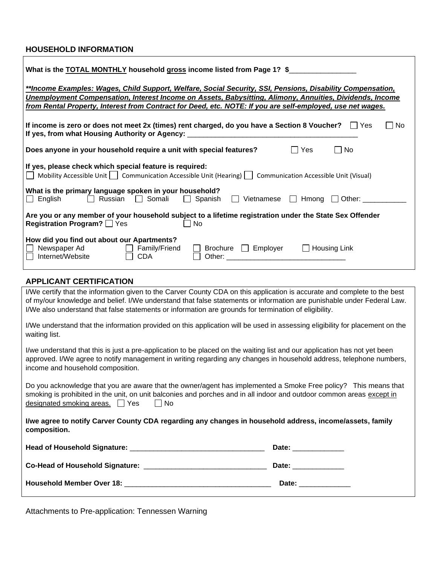# **HOUSEHOLD INFORMATION**

| What is the <b>TOTAL MONTHLY</b> household gross income listed from Page 1? \$                                                                                                                                                                                                                                                                                                                            |  |  |  |  |  |
|-----------------------------------------------------------------------------------------------------------------------------------------------------------------------------------------------------------------------------------------------------------------------------------------------------------------------------------------------------------------------------------------------------------|--|--|--|--|--|
| **Income Examples: Wages, Child Support, Welfare, Social Security, SSI, Pensions, Disability Compensation,<br>Unemployment Compensation, Interest Income on Assets, Babysitting, Alimony, Annuities, Dividends, Income<br>from Rental Property, Interest from Contract for Deed, etc. NOTE: If you are self-employed, use net wages.                                                                      |  |  |  |  |  |
| If income is zero or does not meet 2x (times) rent charged, do you have a Section 8 Voucher? $\Box$ Yes<br><b>No</b><br>If yes, from what Housing Authority or Agency: _________________________________                                                                                                                                                                                                  |  |  |  |  |  |
| Does anyone in your household require a unit with special features?<br>  No<br>∣ Yes                                                                                                                                                                                                                                                                                                                      |  |  |  |  |  |
| If yes, please check which special feature is required:<br>   Mobility Accessible Unit     Communication Accessible Unit (Hearing)     Communication Accessible Unit (Visual)                                                                                                                                                                                                                             |  |  |  |  |  |
| What is the primary language spoken in your household?<br>$\Box$ Somali $\Box$ Spanish<br>Hmong $\Box$<br>English<br>Russian<br>Other:<br>Vietnamese<br>$\mathbf{1}$<br>$\perp$<br>$\Box$                                                                                                                                                                                                                 |  |  |  |  |  |
| Are you or any member of your household subject to a lifetime registration under the State Sex Offender<br>Registration Program? <sup>Yes</sup><br>No                                                                                                                                                                                                                                                     |  |  |  |  |  |
| How did you find out about our Apartments?<br>$\Box$ Housing Link<br>Newspaper Ad<br>$\Box$ Family/Friend<br>Brochure <b>Employer</b><br>Internet/Website<br><b>CDA</b><br>Other: the contract of the contract of the contract of the contract of the contract of the contract of the contract of the contract of the contract of the contract of the contract of the contract of the contract of the con |  |  |  |  |  |
| <b>APPLICANT CERTIFICATION</b>                                                                                                                                                                                                                                                                                                                                                                            |  |  |  |  |  |
| I/We certify that the information given to the Carver County CDA on this application is accurate and complete to the best<br>of my/our knowledge and belief. I/We understand that false statements or information are punishable under Federal Law.                                                                                                                                                       |  |  |  |  |  |

I/We also understand that false statements or information are grounds for termination of eligibility. I/We understand that the information provided on this application will be used in assessing eligibility for placement on the waiting list.

I/we understand that this is just a pre-application to be placed on the waiting list and our application has not yet been approved. I/We agree to notify management in writing regarding any changes in household address, telephone numbers, income and household composition.

Do you acknowledge that you are aware that the owner/agent has implemented a Smoke Free policy? This means that smoking is prohibited in the unit, on unit balconies and porches and in all indoor and outdoor common areas except in designated smoking areas.  $\Box$  Yes  $\Box$  No

**I/we agree to notify Carver County CDA regarding any changes in household address, income/assets, family composition.**

| <b>Head of Household Signature:</b>    | Date: |
|----------------------------------------|-------|
| <b>Co-Head of Household Signature:</b> | Date: |
| <b>Household Member Over 18:</b>       | Date: |

Attachments to Pre-application: Tennessen Warning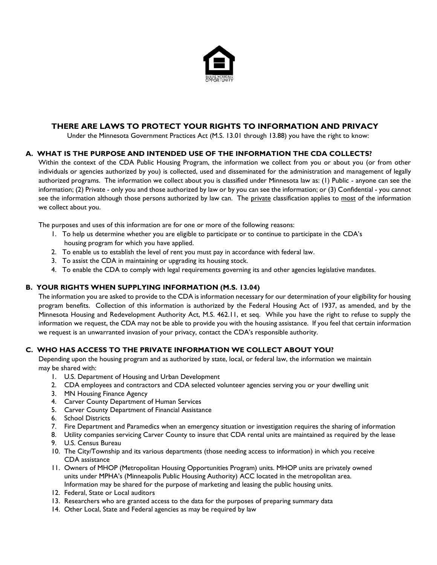

# **THERE ARE LAWS TO PROTECT YOUR RIGHTS TO INFORMATION AND PRIVACY**

Under the Minnesota Government Practices Act (M.S. 13.01 through 13.88) you have the right to know:

# **A. WHAT IS THE PURPOSE AND INTENDED USE OF THE INFORMATION THE CDA COLLECTS?**

Within the context of the CDA Public Housing Program, the information we collect from you or about you (or from other individuals or agencies authorized by you) is collected, used and disseminated for the administration and management of legally authorized programs. The information we collect about you is classified under Minnesota law as: (1) Public - anyone can see the information; (2) Private - only you and those authorized by law or by you can see the information; or (3) Confidential - you cannot see the information although those persons authorized by law can. The private classification applies to most of the information we collect about you.

The purposes and uses of this information are for one or more of the following reasons:

- 1. To help us determine whether you are eligible to participate or to continue to participate in the CDA's housing program for which you have applied.
- 2. To enable us to establish the level of rent you must pay in accordance with federal law.
- 3. To assist the CDA in maintaining or upgrading its housing stock.
- 4. To enable the CDA to comply with legal requirements governing its and other agencies legislative mandates.

### **B. YOUR RIGHTS WHEN SUPPLYING INFORMATION (M.S. 13.04)**

The information you are asked to provide to the CDA is information necessary for our determination of your eligibility for housing program benefits. Collection of this information is authorized by the Federal Housing Act of 1937, as amended, and by the Minnesota Housing and Redevelopment Authority Act, M.S. 462.11, et seq. While you have the right to refuse to supply the information we request, the CDA may not be able to provide you with the housing assistance. If you feel that certain information we request is an unwarranted invasion of your privacy, contact the CDA's responsible authority.

### **C. WHO HAS ACCESS TO THE PRIVATE INFORMATION WE COLLECT ABOUT YOU?**

Depending upon the housing program and as authorized by state, local, or federal law, the information we maintain may be shared with:

- 1. U.S. Department of Housing and Urban Development
- 2. CDA employees and contractors and CDA selected volunteer agencies serving you or your dwelling unit
- 3. MN Housing Finance Agency
- 4. Carver County Department of Human Services
- 5. Carver County Department of Financial Assistance
- 6. School Districts
- 7. Fire Department and Paramedics when an emergency situation or investigation requires the sharing of information
- 8. Utility companies servicing Carver County to insure that CDA rental units are maintained as required by the lease
- 9. U.S. Census Bureau
- 10. The City/Township and its various departments (those needing access to information) in which you receive CDA assistance
- 11. Owners of MHOP (Metropolitan Housing Opportunities Program) units. MHOP units are privately owned units under MPHA's (Minneapolis Public Housing Authority) ACC located in the metropolitan area. Information may be shared for the purpose of marketing and leasing the public housing units.
- 12. Federal, State or Local auditors
- 13. Researchers who are granted access to the data for the purposes of preparing summary data
- 14. Other Local, State and Federal agencies as may be required by law